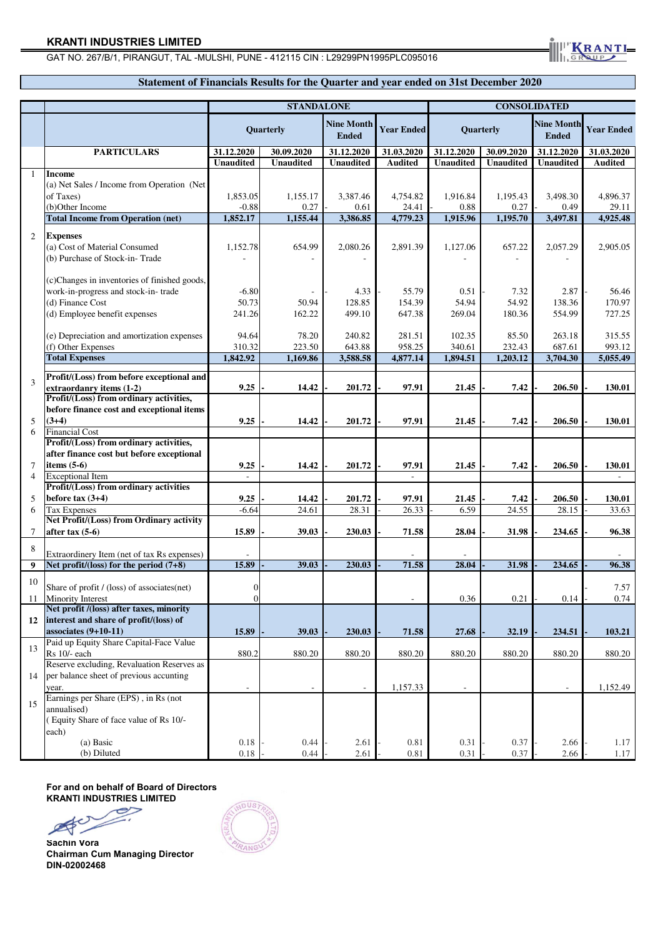# **KRANTI INDUSTRIES LIMITED**

# GAT NO. 267/B/1, PIRANGUT, TAL -MULSHI, PUNE - 412115 CIN : L29299PN1995PLC095016

# **Statement of Financials Results for the Quarter and year ended on 31st December 2020**

**KRANT** 

|                |                                                                                                                     | <b>STANDALONE</b>            |                  |                                   |                           | <b>CONSOLIDATED</b>      |                         |                                   |                           |
|----------------|---------------------------------------------------------------------------------------------------------------------|------------------------------|------------------|-----------------------------------|---------------------------|--------------------------|-------------------------|-----------------------------------|---------------------------|
|                |                                                                                                                     | <b>Ouarterly</b>             |                  | <b>Nine Month</b><br><b>Ended</b> | <b>Year Ended</b>         | Quarterly                |                         | <b>Nine Month</b><br><b>Ended</b> | <b>Year Ended</b>         |
|                | <b>PARTICULARS</b>                                                                                                  | 31.12.2020                   | 30.09.2020       | 31.12.2020                        | 31.03.2020                | 31.12.2020               | 30.09.2020              | 31.12.2020                        | 31.03.2020                |
|                |                                                                                                                     | <b>Unaudited</b>             | <b>Unaudited</b> | <b>Unaudited</b>                  | <b>Audited</b>            | <b>Unaudited</b>         | <b>Unaudited</b>        | <b>Unaudited</b>                  | <b>Audited</b>            |
| -1             | <b>Income</b><br>(a) Net Sales / Income from Operation (Net)<br>of Taxes)<br>(b)Other Income                        | 1,853.05<br>$-0.88$          | 1,155.17<br>0.27 | 3,387.46<br>0.61                  | 4,754.82<br>24.41         | 1,916.84<br>0.88         | 1,195.43<br>0.27        | 3,498.30<br>0.49                  | 4,896.37<br>29.11         |
|                | <b>Total Income from Operation (net)</b>                                                                            | 1,852.17                     | 1,155.44         | 3,386.85                          | 4,779.23                  | 1,915.96                 | 1,195.70                | 3,497.81                          | 4,925.48                  |
| 2              | <b>Expenses</b><br>(a) Cost of Material Consumed<br>(b) Purchase of Stock-in-Trade                                  | 1,152.78                     | 654.99           | 2,080.26                          | 2,891.39                  | 1,127.06                 | 657.22                  | 2,057.29                          | 2,905.05                  |
|                | (c)Changes in inventories of finished goods,                                                                        |                              |                  |                                   |                           |                          |                         |                                   |                           |
|                | work-in-progress and stock-in-trade<br>(d) Finance Cost<br>(d) Employee benefit expenses                            | $-6.80$<br>50.73<br>241.26   | 50.94<br>162.22  | 4.33<br>128.85<br>499.10          | 55.79<br>154.39<br>647.38 | 0.51<br>54.94<br>269.04  | 7.32<br>54.92<br>180.36 | 2.87<br>138.36<br>554.99          | 56.46<br>170.97<br>727.25 |
|                |                                                                                                                     |                              |                  |                                   |                           |                          |                         |                                   |                           |
|                | (e) Depreciation and amortization expenses<br>(f) Other Expenses                                                    | 94.64<br>310.32              | 78.20<br>223.50  | 240.82<br>643.88                  | 281.51<br>958.25          | 102.35<br>340.61         | 85.50<br>232.43         | 263.18<br>687.61                  | 315.55<br>993.12          |
|                | <b>Total Expenses</b>                                                                                               | 1,842.92                     | 1,169.86         | 3,588.58                          | 4,877.14                  | 1,894.51                 | 1,203.12                | 3,704.30                          | 5,055.49                  |
| 3              | Profit/(Loss) from before exceptional and<br>extraordanry items (1-2)                                               | 9.25                         | 14.42            | 201.72                            | 97.91                     | 21.45                    | 7.42                    | 206.50                            | 130.01                    |
|                | Profit/(Loss) from ordinary activities,                                                                             |                              |                  |                                   |                           |                          |                         |                                   |                           |
|                | before finance cost and exceptional items                                                                           |                              |                  |                                   |                           |                          |                         |                                   |                           |
| 5<br>6         | $(3+4)$<br><b>Financial Cost</b>                                                                                    | 9.25                         | 14.42            | 201.72                            | 97.91                     | 21.45                    | 7.42                    | 206.50                            | 130.01                    |
|                | Profit/(Loss) from ordinary activities,                                                                             |                              |                  |                                   |                           |                          |                         |                                   |                           |
|                | after finance cost but before exceptional                                                                           |                              |                  |                                   |                           |                          |                         |                                   |                           |
| 7              | items $(5-6)$                                                                                                       | 9.25                         | 14.42            | 201.72                            | 97.91                     | 21.45                    | 7.42                    | 206.50                            | 130.01                    |
| $\overline{4}$ | <b>Exceptional Item</b>                                                                                             | $\sim$                       |                  |                                   | $\overline{\phantom{a}}$  |                          |                         |                                   | $\overline{\phantom{a}}$  |
|                | Profit/(Loss) from ordinary activities                                                                              |                              |                  |                                   |                           |                          |                         |                                   |                           |
| 5              | before tax $(3+4)$                                                                                                  | 9.25                         | 14.42            | 201.72                            | 97.91                     | 21.45                    | 7.42                    | 206.50                            | 130.01                    |
| 6              | <b>Tax Expenses</b>                                                                                                 | $-6.64$                      | 24.61            | 28.31                             | 26.33                     | 6.59                     | 24.55                   | 28.15                             | 33.63                     |
| 7              | <b>Net Profit/(Loss) from Ordinary activity</b><br>after tax $(5-6)$                                                | 15.89                        | 39.03            | 230.03                            | 71.58                     | 28.04                    | 31.98                   | 234.65                            | 96.38                     |
|                |                                                                                                                     |                              |                  |                                   |                           |                          |                         |                                   |                           |
| 8              | Extraordinery Item (net of tax Rs expenses)                                                                         |                              |                  |                                   |                           |                          |                         |                                   |                           |
| 9              | Net profit/(loss) for the period $(7+8)$                                                                            | 15.89                        | 39.03            | 230.03                            | 71.58                     | 28.04                    | 31.98                   | 234.65                            | 96.38                     |
| 10<br>11       | Share of profit / (loss) of associates(net)<br><b>Minority Interest</b>                                             | $\mathbf{0}$<br>$\mathbf{0}$ |                  |                                   | ÷                         | 0.36                     | 0.21                    | 0.14                              | 7.57<br>0.74              |
|                | Net profit /(loss) after taxes, minority                                                                            |                              |                  |                                   |                           |                          |                         |                                   |                           |
|                | 12 interest and share of profit/(loss) of<br>associates $(9+10-11)$                                                 | 15.89                        | 39.03            | 230.03                            | 71.58                     | 27.68                    | 32.19                   | 234.51                            | 103.21                    |
| 13             | Paid up Equity Share Capital-Face Value<br>Rs 10/- each                                                             | 880.2                        | 880.20           | 880.20                            | 880.20                    | 880.20                   | 880.20                  | 880.20                            | 880.20                    |
| 14             | Reserve excluding, Revaluation Reserves as<br>per balance sheet of previous accunting<br>year.                      |                              |                  |                                   | 1,157.33                  | $\overline{\phantom{a}}$ |                         | $\overline{\phantom{m}}$          | 1,152.49                  |
| 15             | Earnings per Share (EPS), in Rs (not<br>annualised)<br>(Equity Share of face value of Rs 10/-<br>each)<br>(a) Basic | 0.18                         | 0.44             | 2.61                              | 0.81                      | 0.31                     | 0.37                    | 2.66                              | 1.17                      |
|                | (b) Diluted                                                                                                         | $0.18\,$                     | 0.44             | 2.61                              | 0.81                      | 0.31                     | 0.37                    | 2.66                              | 1.17                      |

**For and on behalf of Board of Directors KRANTI INDUSTRIES LIMITED**



**Sachin Vora Chairman Cum Managing Director DIN-02002468**